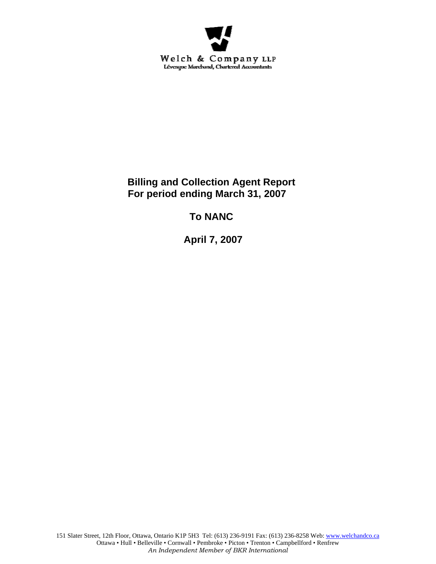

**Billing and Collection Agent Report For period ending March 31, 2007** 

**To NANC** 

 **April 7, 2007**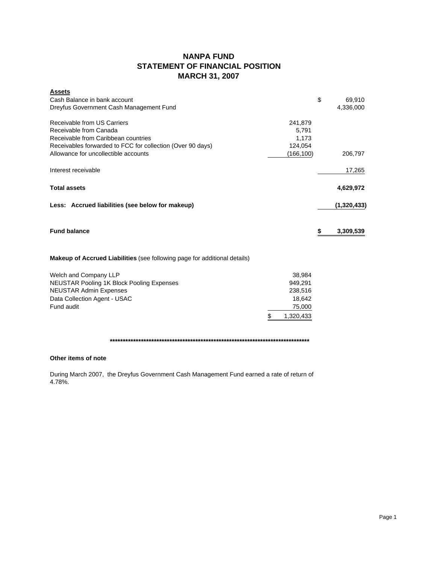# **NANPA FUND STATEMENT OF FINANCIAL POSITION MARCH 31, 2007**

| <b>Assets</b><br>Cash Balance in bank account<br>Dreyfus Government Cash Management Fund                                                                                                           |                                                                     | \$<br>69,910<br>4,336,000 |
|----------------------------------------------------------------------------------------------------------------------------------------------------------------------------------------------------|---------------------------------------------------------------------|---------------------------|
| Receivable from US Carriers<br>Receivable from Canada<br>Receivable from Caribbean countries<br>Receivables forwarded to FCC for collection (Over 90 days)<br>Allowance for uncollectible accounts | 241,879<br>5,791<br>1,173<br>124,054<br>(166,100)                   | 206,797                   |
| Interest receivable                                                                                                                                                                                |                                                                     | 17,265                    |
| <b>Total assets</b>                                                                                                                                                                                |                                                                     | 4,629,972                 |
| Less: Accrued liabilities (see below for makeup)                                                                                                                                                   |                                                                     | (1,320,433)               |
| <b>Fund balance</b>                                                                                                                                                                                |                                                                     | \$<br>3,309,539           |
| <b>Makeup of Accrued Liabilities</b> (see following page for additional details)                                                                                                                   |                                                                     |                           |
| Welch and Company LLP<br><b>NEUSTAR Pooling 1K Block Pooling Expenses</b><br><b>NEUSTAR Admin Expenses</b><br>Data Collection Agent - USAC<br>Fund audit                                           | 38,984<br>949,291<br>238,516<br>18,642<br>75,000<br>1,320,433<br>\$ |                           |

**\*\*\*\*\*\*\*\*\*\*\*\*\*\*\*\*\*\*\*\*\*\*\*\*\*\*\*\*\*\*\*\*\*\*\*\*\*\*\*\*\*\*\*\*\*\*\*\*\*\*\*\*\*\*\*\*\*\*\*\*\*\*\*\*\*\*\*\*\*\*\*\*\*\*\*\*\***

## **Other items of note**

During March 2007, the Dreyfus Government Cash Management Fund earned a rate of return of 4.78%.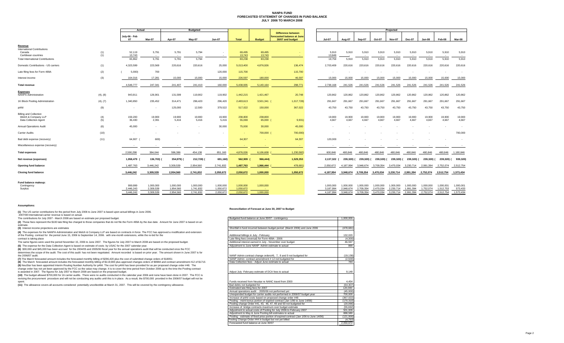#### **NANPA FUND FORECASTED STATEMENT OF CHANGES IN FUND BALANCEJULY 2006 TO MARCH 2008**

|                                                |            | Actual                   |                        | <b>Budgeted</b>          |                        |                        |                        |                     | Projected                                               |                        |                        |                                   |                        |                        |                        |                        |                        |                      |
|------------------------------------------------|------------|--------------------------|------------------------|--------------------------|------------------------|------------------------|------------------------|---------------------|---------------------------------------------------------|------------------------|------------------------|-----------------------------------|------------------------|------------------------|------------------------|------------------------|------------------------|----------------------|
|                                                |            | July-06 - Feb            |                        |                          |                        |                        |                        |                     | <b>Difference between</b><br>forecasted balance at June |                        |                        |                                   |                        |                        |                        |                        |                        |                      |
|                                                |            | 07                       | Mar-07                 | Apr-07                   | <b>Mav-07</b>          | <b>Jun-07</b>          | <b>Total</b>           | <b>Budget</b>       | 30/07 and budget                                        | <b>Jul-07</b>          | Aug-07                 | Sep-07                            | Oct-07                 | <b>Nov-07</b>          | <b>Dec-07</b>          | Jan-08                 | Feb-08                 | Mar-08               |
| Revenue<br><b>International Contributions</b>  |            |                          |                        |                          |                        |                        |                        |                     |                                                         |                        |                        |                                   |                        |                        |                        |                        |                        |                      |
| Canada<br>Caribbean countries                  | (1)<br>(1) | 52,119<br>13.743         | 5,791<br>$\sim$        | 5,791<br>$\sim$          | 5,794<br>$\sim$        | $\sim$                 | 69,495<br>13,743       | 69,495<br>13.743    |                                                         | 5,910<br>13,849        | 5,910                  | 5,910<br>$\overline{\phantom{a}}$ | 5,910                  | 5,910                  | 5,910<br>$\sim$        | 5,910<br>$\sim$        | 5,910                  | 5,910<br>$\sim$      |
| <b>Total International Contributions</b>       |            | 65,862                   | 5,791                  | 5,791                    | 5,794                  | $\sim$                 | 83,238                 | 83,238              |                                                         | 19,759                 | 5,910                  | 5,910                             | 5,910                  | 5,910                  | 5,910                  | 5,910                  | 5,910                  | 5,910                |
| Domestic Contributions - US carriers           | (1)        | 4,323,599                | 223,569                | 220,616                  | 220,616                | 25,000                 | 5,013,400              | 4,876,926           | 136,474                                                 | 2,703,409              | 220,616                | 220,616                           | 220,616                | 220,616                | 220,616                | 220,616                | 220,616                | 220,616              |
| Late filing fees for Form 499A                 | (2)        | 5,000                    | 700                    |                          |                        | 120,000                | 115,700                | $\sim$              | 115,700                                                 |                        |                        |                                   |                        |                        |                        |                        |                        |                      |
| Interest income                                | (3)        | 164,316                  | 17,281                 | 15,000                   | 15,000                 | 15,000                 | 226,597                | 180,000             | 46,597                                                  | 15,000                 | 15,000                 | 15,000                            | 15,000                 | 15,000                 | 15,000                 | 15,000                 | 15,000                 | 15,000               |
| <b>Total revenue</b>                           |            | 4,548,777                | 247,341                | 241,407                  | 241,410                | 160,000                | 5,438,935              | 5,140,164           | 298,771                                                 | 2,738,168              | 241,526                | 241,526                           | 241,526                | 241,526                | 241,526                | 241,526                | 241,526                | 241,526              |
| <b>Expenses</b><br><b>NANPA Administration</b> | (4), (8)   | 943,911                  | 126,901                | 131,599                  | 119,902                | 119,902                | 1,442,215              | 1,421,467           | 20,748                                                  | 120,862                | 120,862                | 120,862                           | 120,862                | 120,862                | 120,862                | 120,862                | 120,862                | 120,862              |
|                                                |            |                          |                        |                          |                        |                        |                        |                     |                                                         |                        |                        |                                   |                        |                        |                        |                        |                        |                      |
| 1K Block Pooling Administration                | (4), (7)   | 1,340,850                | 235,452                | 314,471                  | 296,420                | 296,420                | 2,483,613              | 3,501,341 (         | 1,017,728)                                              | 291,667                | 291,667                | 291,667                           | 291,667                | 291,667                | 291,667                | 291,667                | 291,667                | 291,667              |
| pANI                                           | (9)        | $\overline{\phantom{a}}$ |                        | 125,000                  | 12,500                 | 379,522                | 517,022                | 150,000             | 367,022                                                 | 43,750                 | 43,750                 | 43,750                            | 43,750                 | 43,750                 | 43,750                 | 43,750                 | 43,750                 | 43,750               |
| <b>Billing and Collection</b>                  |            |                          |                        | 19,900                   |                        |                        |                        |                     |                                                         |                        |                        |                                   |                        |                        |                        |                        |                        |                      |
| Welch & Company LLP<br>Data Collection Agent   | (4)<br>(5) | 159,200<br>36,430        | 19,900<br>2,391        | 5,416                    | 19,900<br>5,416        | 19,900<br>5,416        | 238,800<br>55,069      | 238,800<br>65,000 ( | 9,931)                                                  | 19,900<br>4,667        | 19,900<br>4,667        | 19,900<br>4,667                   | 19,900<br>4,667        | 19,900<br>4,667        | 19,900<br>4,667        | 19,900<br>4,667        | 19,900<br>4,667        | 19,900<br>4,667      |
| <b>Annual Operations Audit</b>                 | (6)        | 45,000                   |                        | $\overline{\phantom{a}}$ | $\sim$                 | 30,000                 | 75,000                 | 30,000              | 45,000                                                  |                        |                        |                                   |                        |                        |                        |                        |                        |                      |
| Carrier Audits                                 | (10)       | $\sim$                   |                        |                          | $\sim$                 |                        | <b>Card</b>            | 700,000 (           | 700,000)                                                |                        |                        |                                   |                        |                        |                        |                        |                        | 700,000              |
| Bad debt expense (recovery)                    | (11)       | 64,907                   | 600)                   |                          |                        |                        | 64,307                 |                     | 64,307                                                  | 120,000                |                        |                                   |                        |                        |                        |                        |                        | $\sim$ $\sim$        |
| Miscellaneous expense (recovery)               |            | $\sim$                   |                        | $\overline{\phantom{a}}$ | $\sim$                 |                        |                        |                     |                                                         |                        | $\sim$                 | $\sim$                            | $\sim$                 | $\sim$                 | $\sim$                 | $\sim$                 | $\sim$                 | $\sim$ 100 $\pm$     |
| <b>Total expenses</b>                          |            | 2,590,298                | 384,044                | 596,386                  | 454,138                | 851,160                | 4,876,026              | 6,106,608           | 1,230,582)                                              | 600,846                | 480,846                | 480,846                           | 480,846                | 480,846                | 480,846                | 480,846                | 480,846                | 1,180,846            |
| Net revenue (expenses)                         |            | 1,958,479                | 136,703) (             | 354,979)                 | 212,728)               | 691,160)               | 562,909                | 966,444)            | 1,529,353                                               | 2,137,322 (            | 239,320)               | 239,320) (                        | 239,320) (             | 239,320) (             | 239,320)               | 239,320) (             | 239,320) (             | 939,320)             |
| Opening fund balance                           |            | 1,487,763                | 3,446,242              | 3,309,539                | 2,954,560              | 2,741,832              | 1,487,763              | 1,966,444           | 478,681                                                 | 2,050,672              | 4,187,994              | 3,948,674                         | 3,709,354              | 3,470,034              | 3,230,714              | 2,991,394              | 2,752,074              | 2,512,754            |
| <b>Closing fund balance</b>                    |            | 3,446,242                | 3,309,539              | 2,954,560                | 2,741,832              | 2,050,672              | 2,050,672              | 1,000,000           | 1,050,672                                               | 4,187,994              | 3,948,674              | 3,709,354                         | 3,470,034              | 3,230,714              | 2,991,394              | 2,752,074              | 2,512,754              | 1,573,434            |
| Fund balance makeup:                           |            |                          |                        |                          |                        |                        |                        |                     |                                                         |                        |                        |                                   |                        |                        |                        |                        |                        |                      |
| Contingency                                    |            | 999.999                  | 1,000,000              | 1.000.000                | 1.000.000              | 1.000.000              | 1.000.000              | 1,000,000           |                                                         | 1.000.000              | 1.000.000              | 1.000.000                         | 1.000.000              | 1.000.000              | 1.000.000              | 1.000.000              | 1.000.001              | 1,000,001            |
| Surplus                                        |            | 2,446,243<br>3,446,242   | 2,309,539<br>3,309,539 | 1,954,560<br>2,954,560   | 1,741,832<br>2,741,832 | 1,050,672<br>2,050,672 | 1,050,672<br>2,050,672 | 1,000,000           |                                                         | 3.187.994<br>4.187.994 | 2,948,674<br>3,948,674 | 2,709,354<br>3,709,354            | 2,470,034<br>3,470,034 | 2,230,714<br>3,230,714 | 1,991,394<br>2,991,394 | 1,752,074<br>2,752,074 | 1,512,753<br>2,512,754 | 573,433<br>1,573,434 |
|                                                |            |                          |                        |                          |                        |                        |                        |                     |                                                         |                        |                        |                                   |                        |                        |                        |                        |                        |                      |

#### **Assumptions:**

**(1)** The US carrier contributions for the period from July 2006 to June 2007 is based upon actual billings in June 2006. 2007/08 International carrier revenue is based on actual.

#### **Reconciliation of Forecast at June 30, 2007 to Budget**

| The contributions for July 2007 - March 2008 are based on estimate per proposed budget.                                                                                | Budgeted fund balance at June 30/07 - contingency                                                                                      | 1.000.000               |
|------------------------------------------------------------------------------------------------------------------------------------------------------------------------|----------------------------------------------------------------------------------------------------------------------------------------|-------------------------|
| (2) These fees represent the \$100 late filing fee charged to those companies that do not file the Form 499A by the due date. Amount for June 2007 is based on an      |                                                                                                                                        |                         |
| estimate.                                                                                                                                                              |                                                                                                                                        |                         |
| (3) Interest income projections are estimates                                                                                                                          | Shortfall in fund incurred between budget period (March 2006) and June 2006                                                            | (478.681)               |
| (4) The expenses for the NANPA Administration and Welch & Company LLP are based on contracts in force. The FCC has approved a modification and extension               |                                                                                                                                        |                         |
| of the Pooling contract for the period June 15, 2006 to September 14, 2006. with one-month extensions, while the re-bid for the                                        | Additional billings in July - February                                                                                                 | 132.020                 |
| contract is taking place                                                                                                                                               | Late filing fees (reversal) for Form 499A - 2006                                                                                       | (4.300)                 |
| The same figures were used the period November 15, 2006 to June 2007. The figures for July 2007 to March 2008 are based on the proposed budget.                        | Additional interest earned in July - November over budget                                                                              | 46.597                  |
| (5) The expense for the Data Collection Agent is based on estimate of costs by USAC for the 2007 calendar year.                                                        | Adjustment to June NANP Admin estimate to actual                                                                                       | 890                     |
| (6) \$30,000 and \$45,000 has been accrued for the 2004/05 and 2005/06 fiscal year for the annual operations audit that will be conducted once the FCC                 |                                                                                                                                        |                         |
| determines the scope of the audit. The cost of this audit has not been negotiated. Amount recorded is based on prior year. The amount shown in June 2007 is for        |                                                                                                                                        |                         |
| the 2006/07 audit.                                                                                                                                                     | NANP Admin contract change orders#6, 7, 8 and 9 not budgeted for                                                                       | (19, 138)               |
| (7) The March forecasted amount includes the forecasted monthly billing of \$296,420 plus the cost of submitted change orders of \$18051                               | NANP Admin contract amendment #12 not budgeted for                                                                                     | (2,500)                 |
| (8) The March forecasted amount includes the forecasted monthly billing of \$119,900 plus approved changes orders of \$9984 and contract amendment #12 of \$1715       | Data Collection fees - Adiust June estimate to actual                                                                                  | 783                     |
| (9) NeuStar has been appointed Interim Routing Number Authority for pANI. The cost for pANI has been provided for as per proposed change order #48. The                |                                                                                                                                        |                         |
| change order has not yet been approved by the FCC so the value may change. It is to cover the time period from October 2006 up to the time the Pooling contract        |                                                                                                                                        |                         |
| is awarded in 2007. The figures for July 2007 to March 2008 are based on the proposed budget.                                                                          | Adjust July -February estimate of DCA fees to actual                                                                                   | 9.148                   |
| (10) The budget allowed \$700,000 for 16 carrier audits. There were no audits conducted in the calendar year 2006 and none have been done in 2007. The FCC is          |                                                                                                                                        |                         |
| revising the procurement procedure and will not be conducting any audits until this is in place. As a result, the \$700,000 provided in the 2006/07 budget will not be | Funds received from Neustar re NANC travel from 2000                                                                                   | 4.454                   |
| spent.                                                                                                                                                                 |                                                                                                                                        |                         |
| (11) The allowance covers all accounts considered potentially uncollectible at March 31, 2007. This will be covered by the contingency allowance.                      | Bad debts not budgeted for                                                                                                             | (64.307)                |
|                                                                                                                                                                        | Estimated late filing fees for 2007<br>Annual operations audit - 2005/06 not performed vet                                             | 120,000<br>(45.000)     |
|                                                                                                                                                                        |                                                                                                                                        | 700,000                 |
|                                                                                                                                                                        | Unexpended budget for carrier audits not performed in 2006/07 budget year<br>Increase of pANI costs based on proposed change order #48 |                         |
|                                                                                                                                                                        | Pooling - merit bonus portion of expired contract (Jan 1/06 to June 14/06)                                                             | (367, 022)<br>(170.310) |
|                                                                                                                                                                        | Pooling change Order #41, 43, 46, 47, 49 and 50 not budgeted for                                                                       | (20.066)                |
|                                                                                                                                                                        | Increase of bridge contracts maximum over budget estimate                                                                              | (55.692)                |
|                                                                                                                                                                        | Adjustment to actual costs of Pooling for July 2006 to February 2007                                                                   | 501.009                 |
|                                                                                                                                                                        | Adjustment to May & June Pooling bill estimates to actual                                                                              | 888,580                 |
|                                                                                                                                                                        | Pooling - estimate of fixed price portion of expired contract (Jan 1/06 to June 14/06)                                                 | (121.000)               |
|                                                                                                                                                                        | Pooling Change Order #44 in budget but not yet billed                                                                                  | (4, 793)                |
|                                                                                                                                                                        | Forecasted fund balance at June 30/07                                                                                                  | 2,050,672               |
|                                                                                                                                                                        |                                                                                                                                        |                         |